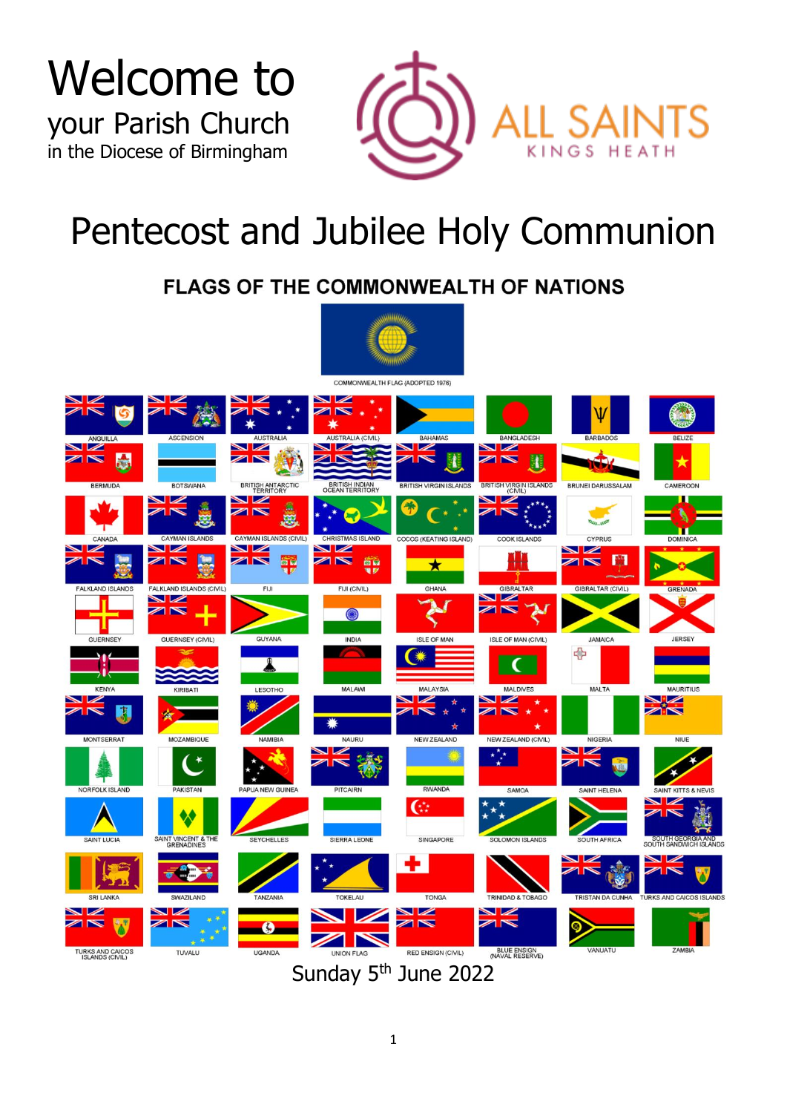Welcome to your Parish Church in the Diocese of Birmingham



# Pentecost and Jubilee Holy Communion

### **FLAGS OF THE COMMONWEALTH OF NATIONS**

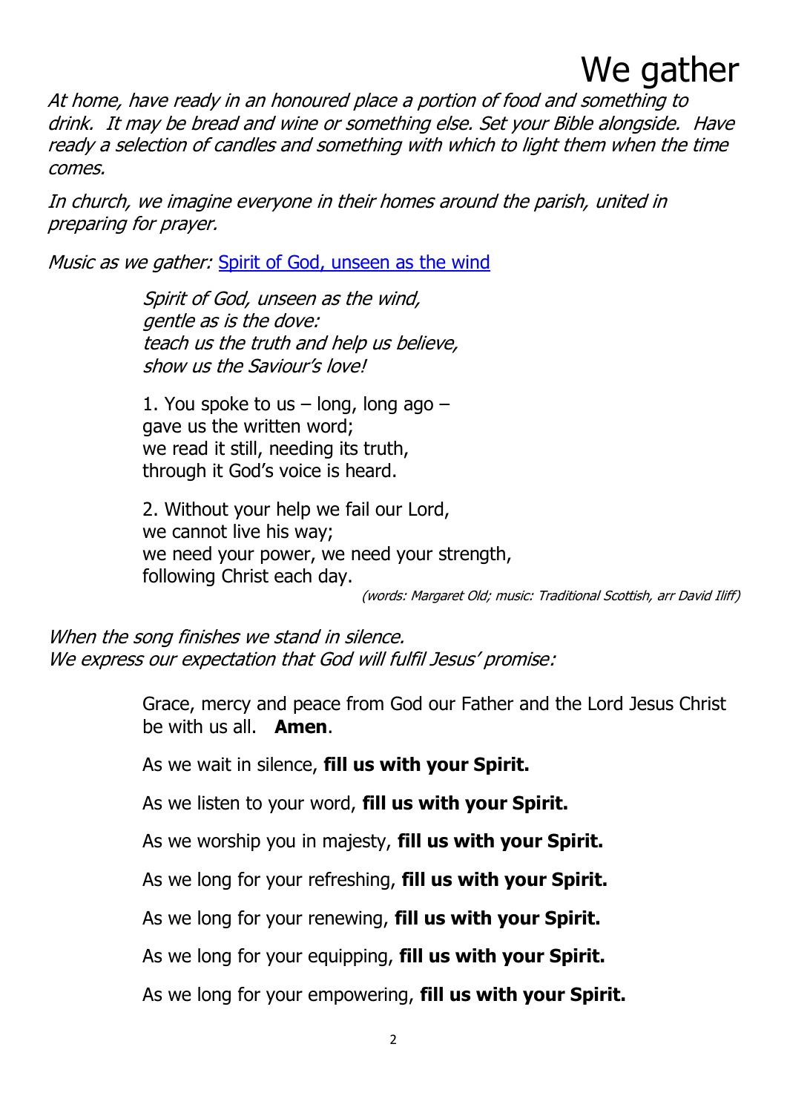### We gather

At home, have ready in an honoured place a portion of food and something to drink. It may be bread and wine or something else. Set your Bible alongside. Have ready a selection of candles and something with which to light them when the time comes.

In church, we imagine everyone in their homes around the parish, united in preparing for prayer.

Music as we gather: [Spirit of God, unseen as the wind](https://soundcloud.com/all-saints-kings-heath/spirit-of-god-unseen-as-the?)

Spirit of God, unseen as the wind, gentle as is the dove: teach us the truth and help us believe, show us the Saviour's love!

1. You spoke to us  $-$  long, long ago  $$ gave us the written word; we read it still, needing its truth, through it God's voice is heard.

2. Without your help we fail our Lord, we cannot live his way; we need your power, we need your strength, following Christ each day.

(words: Margaret Old; music: Traditional Scottish, arr David Iliff)

When the song finishes we stand in silence. We express our expectation that God will fulfil Jesus' promise:

> Grace, mercy and peace from God our Father and the Lord Jesus Christ be with us all. **Amen**.

As we wait in silence, **fill us with your Spirit.**

As we listen to your word, **fill us with your Spirit.**

As we worship you in majesty, **fill us with your Spirit.**

As we long for your refreshing, **fill us with your Spirit.**

As we long for your renewing, **fill us with your Spirit.**

As we long for your equipping, **fill us with your Spirit.**

As we long for your empowering, **fill us with your Spirit.**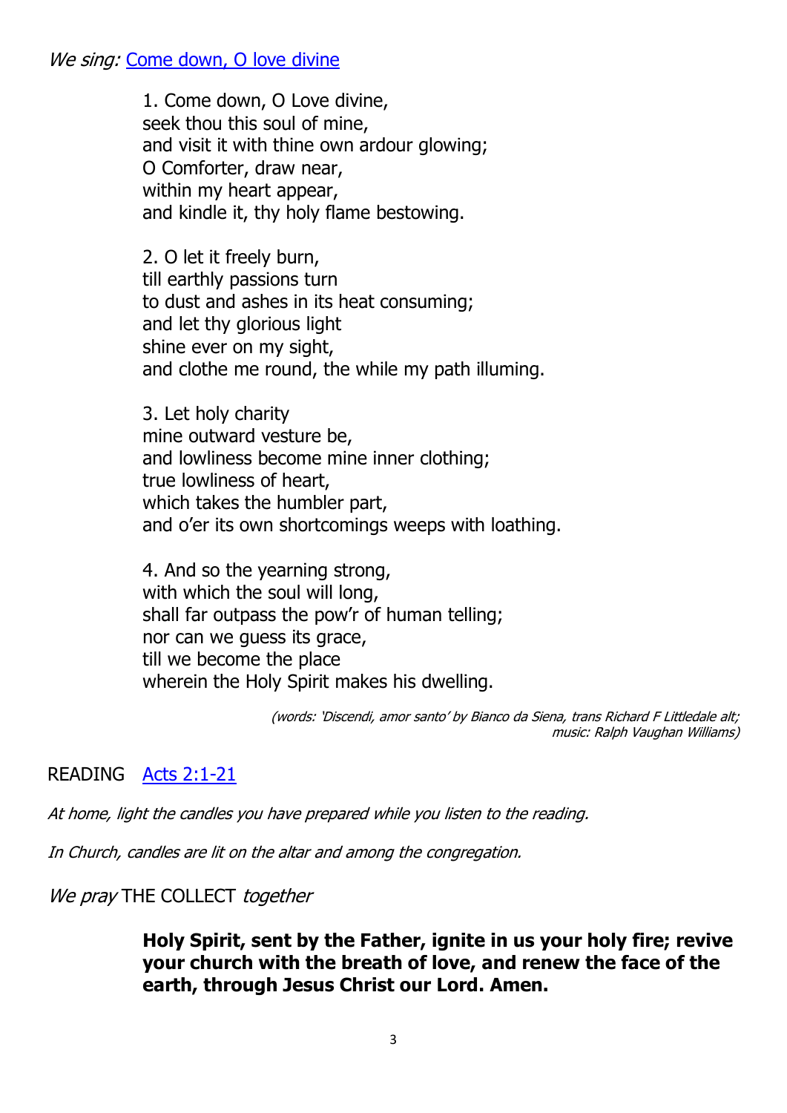We sing: [Come down, O love divine](https://soundcloud.com/all-saints-kings-heath/come-down-o-love-divine?)

1. Come down, O Love divine, seek thou this soul of mine, and visit it with thine own ardour glowing; O Comforter, draw near, within my heart appear, and kindle it, thy holy flame bestowing.

2. O let it freely burn, till earthly passions turn to dust and ashes in its heat consuming; and let thy glorious light shine ever on my sight, and clothe me round, the while my path illuming.

3. Let holy charity mine outward vesture be, and lowliness become mine inner clothing; true lowliness of heart, which takes the humbler part, and o'er its own shortcomings weeps with loathing.

4. And so the yearning strong, with which the soul will long, shall far outpass the pow'r of human telling; nor can we guess its grace, till we become the place wherein the Holy Spirit makes his dwelling.

> (words: 'Discendi, amor santo' by Bianco da Siena, trans Richard F Littledale alt; music: Ralph Vaughan Williams)

### READING [Acts 2:1-21](https://soundcloud.com/all-saints-kings-heath/acts-1-1-21?)

At home, light the candles you have prepared while you listen to the reading.

In Church, candles are lit on the altar and among the congregation.

We pray THE COLLECT together

**Holy Spirit, sent by the Father, ignite in us your holy fire; revive your church with the breath of love, and renew the face of the earth, through Jesus Christ our Lord. Amen.**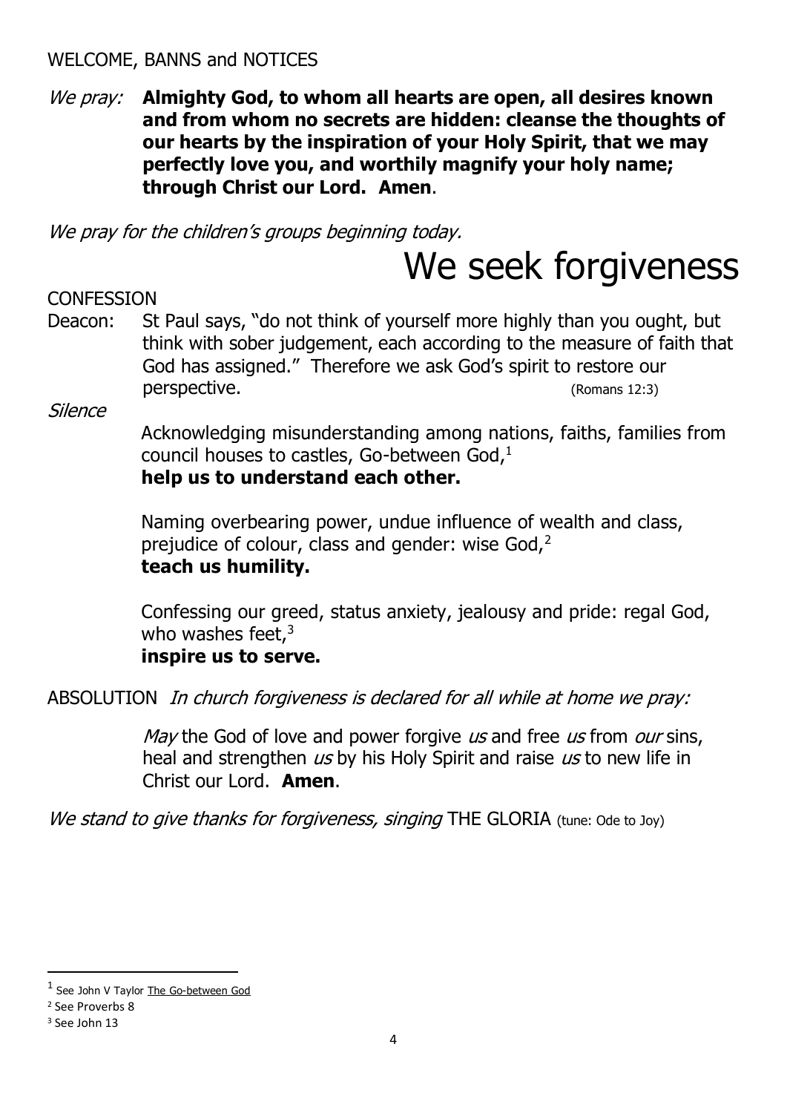### WELCOME, BANNS and NOTICES

### We pray: **Almighty God, to whom all hearts are open, all desires known and from whom no secrets are hidden: cleanse the thoughts of our hearts by the inspiration of your Holy Spirit, that we may perfectly love you, and worthily magnify your holy name; through Christ our Lord. Amen**.

We pray for the children's groups beginning today.

## We seek forgiveness

### **CONFESSION**

Deacon: St Paul says, "do not think of yourself more highly than you ought, but think with sober judgement, each according to the measure of faith that God has assigned." Therefore we ask God's spirit to restore our perspective. (Romans 12:3)

Silence

Acknowledging misunderstanding among nations, faiths, families from council houses to castles, Go-between God,<sup>1</sup> **help us to understand each other.**

Naming overbearing power, undue influence of wealth and class, prejudice of colour, class and gender: wise God,<sup>2</sup> **teach us humility.**

Confessing our greed, status anxiety, jealousy and pride: regal God, who washes feet, $3$ 

### **inspire us to serve.**

ABSOLUTION In church forgiveness is declared for all while at home we pray:

May the God of love and power forgive us and free us from our sins, heal and strengthen us by his Holy Spirit and raise us to new life in Christ our Lord. **Amen**.

We stand to give thanks for forgiveness, singing THE GLORIA (tune: Ode to Joy)

<sup>&</sup>lt;sup>1</sup> See John V Taylor The Go-between God

<sup>2</sup> See Proverbs 8

<sup>&</sup>lt;sup>3</sup> See John 13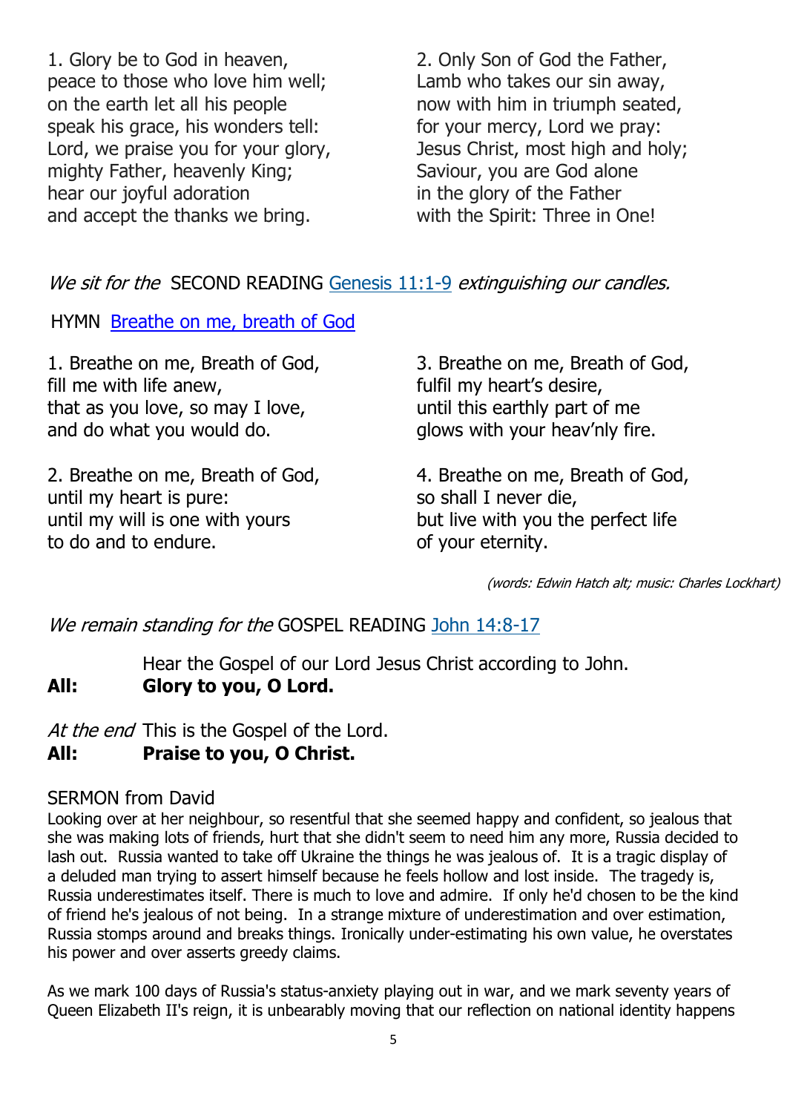1. Glory be to God in heaven, peace to those who love him well; on the earth let all his people speak his grace, his wonders tell: Lord, we praise you for your glory, mighty Father, heavenly King; hear our joyful adoration and accept the thanks we bring.

2. Only Son of God the Father, Lamb who takes our sin away, now with him in triumph seated, for your mercy, Lord we pray: Jesus Christ, most high and holy; Saviour, you are God alone in the glory of the Father with the Spirit: Three in One!

We sit for the SECOND READING [Genesis 11:1-9](https://www.biblegateway.com/passage/?search=Genesis+11%3A1-9&version=NRSVA) extinguishing our candles.

HYMN [Breathe on me, breath of God](https://soundcloud.com/all-saints-kings-heath/breathe-on-me-breath-of-god-1?)

1. Breathe on me, Breath of God, fill me with life anew, that as you love, so may I love, and do what you would do.

2. Breathe on me, Breath of God, until my heart is pure: until my will is one with yours to do and to endure.

3. Breathe on me, Breath of God, fulfil my heart's desire, until this earthly part of me glows with your heav'nly fire.

4. Breathe on me, Breath of God, so shall I never die, but live with you the perfect life of your eternity.

(words: Edwin Hatch alt; music: Charles Lockhart)

### We remain standing for the GOSPEL READING [John 14:8-17](https://www.biblegateway.com/passage/?search=John+14%3A8-17&version=NRSVA)

Hear the Gospel of our Lord Jesus Christ according to John. **All: Glory to you, O Lord.**

At the end This is the Gospel of the Lord.

### **All: Praise to you, O Christ.**

### SERMON from David

Looking over at her neighbour, so resentful that she seemed happy and confident, so jealous that she was making lots of friends, hurt that she didn't seem to need him any more, Russia decided to lash out. Russia wanted to take off Ukraine the things he was jealous of. It is a tragic display of a deluded man trying to assert himself because he feels hollow and lost inside. The tragedy is, Russia underestimates itself. There is much to love and admire. If only he'd chosen to be the kind of friend he's jealous of not being. In a strange mixture of underestimation and over estimation, Russia stomps around and breaks things. Ironically under-estimating his own value, he overstates his power and over asserts greedy claims.

As we mark 100 days of Russia's status-anxiety playing out in war, and we mark seventy years of Queen Elizabeth II's reign, it is unbearably moving that our reflection on national identity happens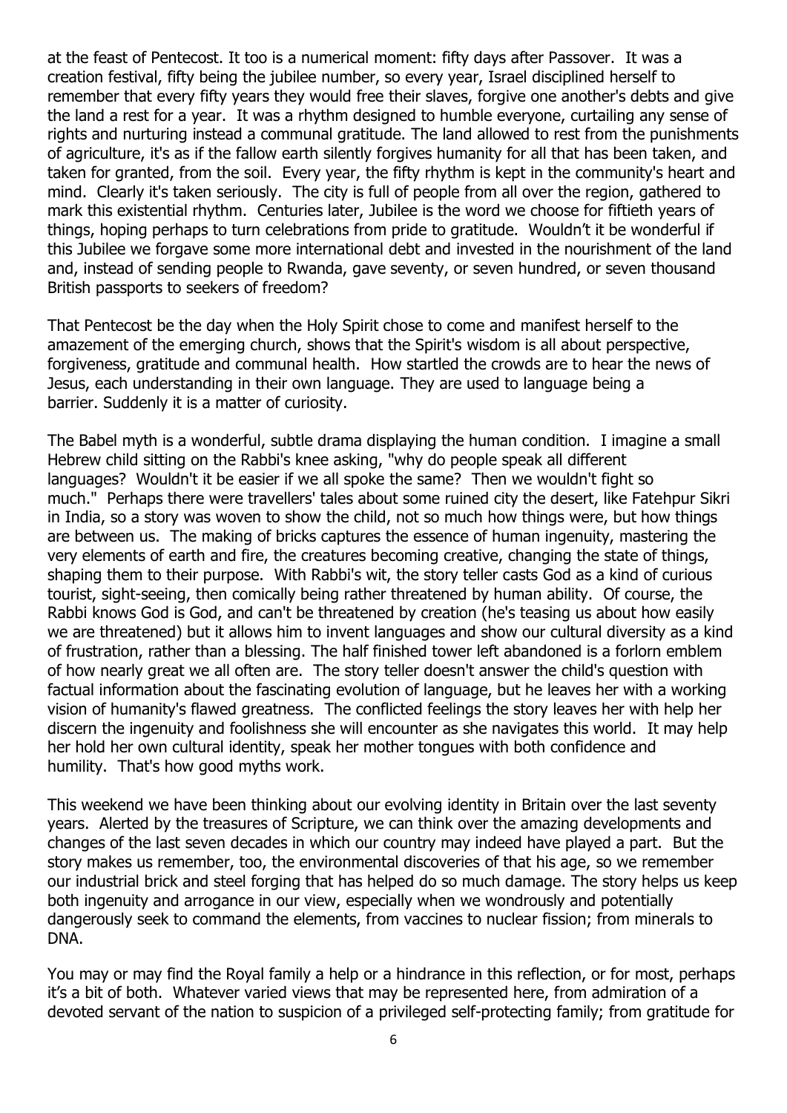at the feast of Pentecost. It too is a numerical moment: fifty days after Passover. It was a creation festival, fifty being the jubilee number, so every year, Israel disciplined herself to remember that every fifty years they would free their slaves, forgive one another's debts and give the land a rest for a year. It was a rhythm designed to humble everyone, curtailing any sense of rights and nurturing instead a communal gratitude. The land allowed to rest from the punishments of agriculture, it's as if the fallow earth silently forgives humanity for all that has been taken, and taken for granted, from the soil. Every year, the fifty rhythm is kept in the community's heart and mind. Clearly it's taken seriously. The city is full of people from all over the region, gathered to mark this existential rhythm. Centuries later, Jubilee is the word we choose for fiftieth years of things, hoping perhaps to turn celebrations from pride to gratitude. Wouldn't it be wonderful if this Jubilee we forgave some more international debt and invested in the nourishment of the land and, instead of sending people to Rwanda, gave seventy, or seven hundred, or seven thousand British passports to seekers of freedom?

That Pentecost be the day when the Holy Spirit chose to come and manifest herself to the amazement of the emerging church, shows that the Spirit's wisdom is all about perspective, forgiveness, gratitude and communal health. How startled the crowds are to hear the news of Jesus, each understanding in their own language. They are used to language being a barrier. Suddenly it is a matter of curiosity.

The Babel myth is a wonderful, subtle drama displaying the human condition. I imagine a small Hebrew child sitting on the Rabbi's knee asking, "why do people speak all different languages? Wouldn't it be easier if we all spoke the same? Then we wouldn't fight so much." Perhaps there were travellers' tales about some ruined city the desert, like Fatehpur Sikri in India, so a story was woven to show the child, not so much how things were, but how things are between us. The making of bricks captures the essence of human ingenuity, mastering the very elements of earth and fire, the creatures becoming creative, changing the state of things, shaping them to their purpose. With Rabbi's wit, the story teller casts God as a kind of curious tourist, sight-seeing, then comically being rather threatened by human ability. Of course, the Rabbi knows God is God, and can't be threatened by creation (he's teasing us about how easily we are threatened) but it allows him to invent languages and show our cultural diversity as a kind of frustration, rather than a blessing. The half finished tower left abandoned is a forlorn emblem of how nearly great we all often are. The story teller doesn't answer the child's question with factual information about the fascinating evolution of language, but he leaves her with a working vision of humanity's flawed greatness. The conflicted feelings the story leaves her with help her discern the ingenuity and foolishness she will encounter as she navigates this world. It may help her hold her own cultural identity, speak her mother tongues with both confidence and humility. That's how good myths work.

This weekend we have been thinking about our evolving identity in Britain over the last seventy years. Alerted by the treasures of Scripture, we can think over the amazing developments and changes of the last seven decades in which our country may indeed have played a part. But the story makes us remember, too, the environmental discoveries of that his age, so we remember our industrial brick and steel forging that has helped do so much damage. The story helps us keep both ingenuity and arrogance in our view, especially when we wondrously and potentially dangerously seek to command the elements, from vaccines to nuclear fission; from minerals to DNA.

You may or may find the Royal family a help or a hindrance in this reflection, or for most, perhaps it's a bit of both. Whatever varied views that may be represented here, from admiration of a devoted servant of the nation to suspicion of a privileged self-protecting family; from gratitude for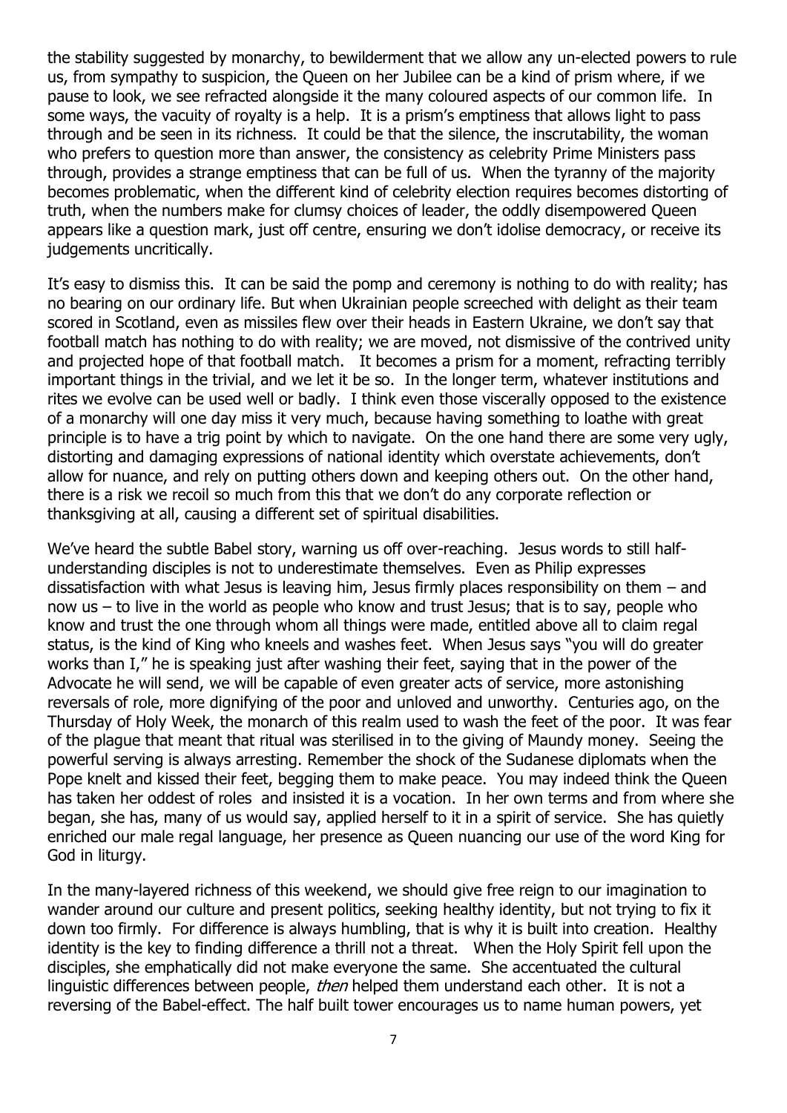the stability suggested by monarchy, to bewilderment that we allow any un-elected powers to rule us, from sympathy to suspicion, the Queen on her Jubilee can be a kind of prism where, if we pause to look, we see refracted alongside it the many coloured aspects of our common life. In some ways, the vacuity of royalty is a help. It is a prism's emptiness that allows light to pass through and be seen in its richness. It could be that the silence, the inscrutability, the woman who prefers to question more than answer, the consistency as celebrity Prime Ministers pass through, provides a strange emptiness that can be full of us. When the tyranny of the majority becomes problematic, when the different kind of celebrity election requires becomes distorting of truth, when the numbers make for clumsy choices of leader, the oddly disempowered Queen appears like a question mark, just off centre, ensuring we don't idolise democracy, or receive its judgements uncritically.

It's easy to dismiss this. It can be said the pomp and ceremony is nothing to do with reality; has no bearing on our ordinary life. But when Ukrainian people screeched with delight as their team scored in Scotland, even as missiles flew over their heads in Eastern Ukraine, we don't say that football match has nothing to do with reality; we are moved, not dismissive of the contrived unity and projected hope of that football match. It becomes a prism for a moment, refracting terribly important things in the trivial, and we let it be so. In the longer term, whatever institutions and rites we evolve can be used well or badly. I think even those viscerally opposed to the existence of a monarchy will one day miss it very much, because having something to loathe with great principle is to have a trig point by which to navigate. On the one hand there are some very ugly, distorting and damaging expressions of national identity which overstate achievements, don't allow for nuance, and rely on putting others down and keeping others out. On the other hand, there is a risk we recoil so much from this that we don't do any corporate reflection or thanksgiving at all, causing a different set of spiritual disabilities.

We've heard the subtle Babel story, warning us off over-reaching. Jesus words to still halfunderstanding disciples is not to underestimate themselves. Even as Philip expresses dissatisfaction with what Jesus is leaving him, Jesus firmly places responsibility on them – and now us – to live in the world as people who know and trust Jesus; that is to say, people who know and trust the one through whom all things were made, entitled above all to claim regal status, is the kind of King who kneels and washes feet. When Jesus says "you will do greater works than I," he is speaking just after washing their feet, saying that in the power of the Advocate he will send, we will be capable of even greater acts of service, more astonishing reversals of role, more dignifying of the poor and unloved and unworthy. Centuries ago, on the Thursday of Holy Week, the monarch of this realm used to wash the feet of the poor. It was fear of the plague that meant that ritual was sterilised in to the giving of Maundy money. Seeing the powerful serving is always arresting. Remember the shock of the Sudanese diplomats when the Pope knelt and kissed their feet, begging them to make peace. You may indeed think the Queen has taken her oddest of roles and insisted it is a vocation. In her own terms and from where she began, she has, many of us would say, applied herself to it in a spirit of service. She has quietly enriched our male regal language, her presence as Queen nuancing our use of the word King for God in liturgy.

In the many-layered richness of this weekend, we should give free reign to our imagination to wander around our culture and present politics, seeking healthy identity, but not trying to fix it down too firmly. For difference is always humbling, that is why it is built into creation. Healthy identity is the key to finding difference a thrill not a threat. When the Holy Spirit fell upon the disciples, she emphatically did not make everyone the same. She accentuated the cultural linguistic differences between people, *then* helped them understand each other. It is not a reversing of the Babel-effect. The half built tower encourages us to name human powers, yet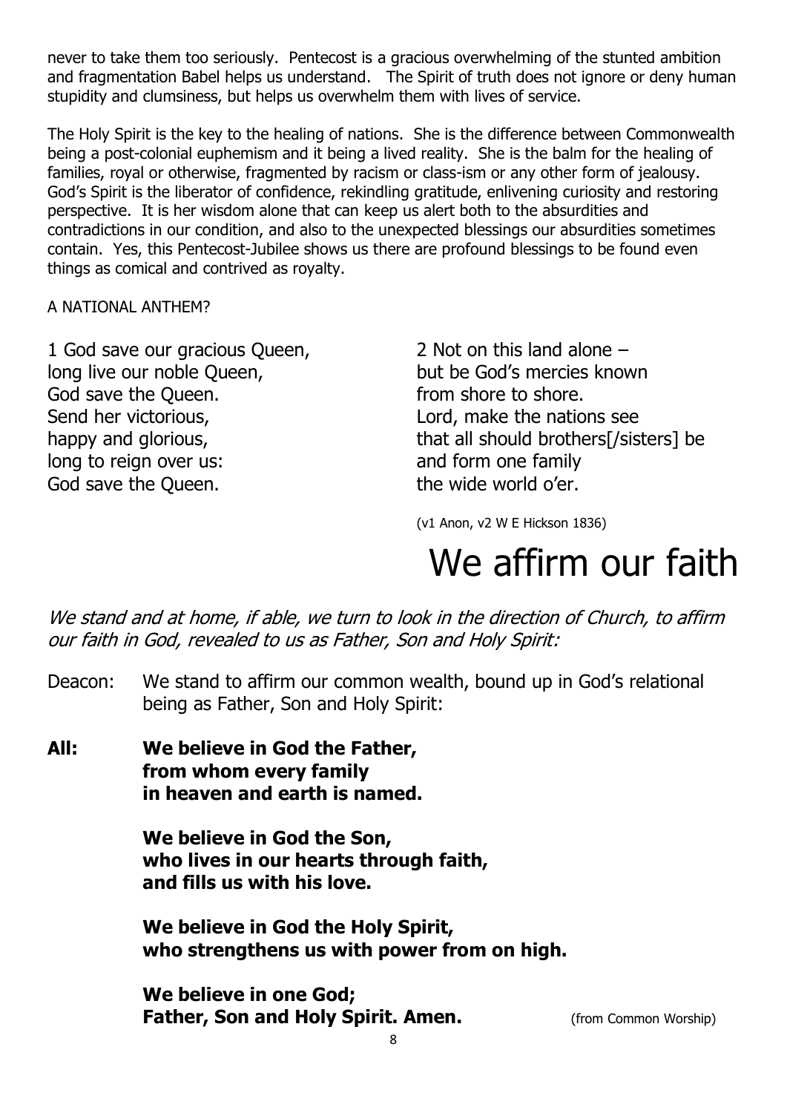never to take them too seriously. Pentecost is a gracious overwhelming of the stunted ambition and fragmentation Babel helps us understand. The Spirit of truth does not ignore or deny human stupidity and clumsiness, but helps us overwhelm them with lives of service.

The Holy Spirit is the key to the healing of nations. She is the difference between Commonwealth being a post-colonial euphemism and it being a lived reality. She is the balm for the healing of families, royal or otherwise, fragmented by racism or class-ism or any other form of jealousy. God's Spirit is the liberator of confidence, rekindling gratitude, enlivening curiosity and restoring perspective. It is her wisdom alone that can keep us alert both to the absurdities and contradictions in our condition, and also to the unexpected blessings our absurdities sometimes contain. Yes, this Pentecost-Jubilee shows us there are profound blessings to be found even things as comical and contrived as royalty.

#### A NATIONAL ANTHEM?

1 God save our gracious Queen, long live our noble Queen, God save the Queen. Send her victorious, happy and glorious, long to reign over us: God save the Queen.

2 Not on this land alone – but be God's mercies known from shore to shore. Lord, make the nations see that all should brothers[/sisters] be and form one family the wide world o'er.

(v1 Anon, v2 W E Hickson 1836)

# We affirm our faith

We stand and at home, if able, we turn to look in the direction of Church, to affirm our faith in God, revealed to us as Father, Son and Holy Spirit:

- Deacon: We stand to affirm our common wealth, bound up in God's relational being as Father, Son and Holy Spirit:
- **All: We believe in God the Father, from whom every family in heaven and earth is named.**

**We believe in God the Son, who lives in our hearts through faith, and fills us with his love.**

**We believe in God the Holy Spirit, who strengthens us with power from on high.**

**We believe in one God; Father, Son and Holy Spirit. Amen.** (from Common Worship)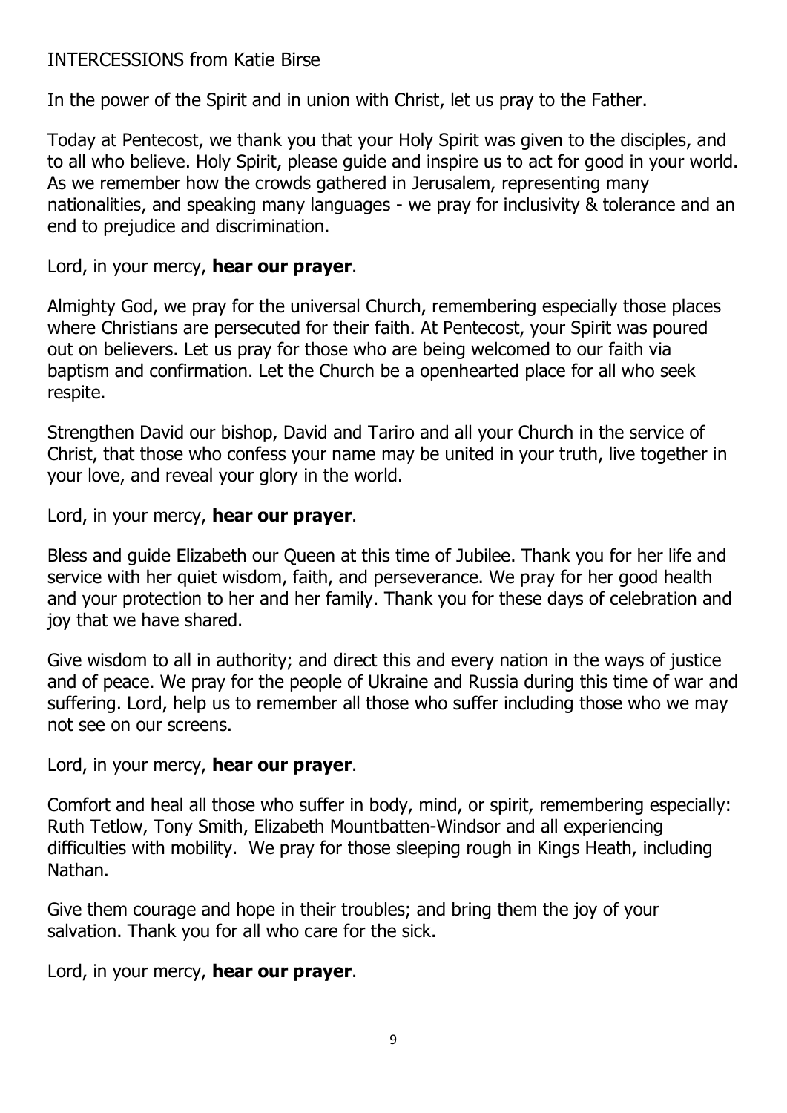### INTERCESSIONS from Katie Birse

In the power of the Spirit and in union with Christ, let us pray to the Father.

Today at Pentecost, we thank you that your Holy Spirit was given to the disciples, and to all who believe. Holy Spirit, please guide and inspire us to act for good in your world. As we remember how the crowds gathered in Jerusalem, representing many nationalities, and speaking many languages - we pray for inclusivity & tolerance and an end to prejudice and discrimination.

#### Lord, in your mercy, **hear our prayer**.

Almighty God, we pray for the universal Church, remembering especially those places where Christians are persecuted for their faith. At Pentecost, your Spirit was poured out on believers. Let us pray for those who are being welcomed to our faith via baptism and confirmation. Let the Church be a openhearted place for all who seek respite.

Strengthen David our bishop, David and Tariro and all your Church in the service of Christ, that those who confess your name may be united in your truth, live together in your love, and reveal your glory in the world.

Lord, in your mercy, **hear our prayer**.

Bless and guide Elizabeth our Queen at this time of Jubilee. Thank you for her life and service with her quiet wisdom, faith, and perseverance. We pray for her good health and your protection to her and her family. Thank you for these days of celebration and joy that we have shared.

Give wisdom to all in authority; and direct this and every nation in the ways of justice and of peace. We pray for the people of Ukraine and Russia during this time of war and suffering. Lord, help us to remember all those who suffer including those who we may not see on our screens.

Lord, in your mercy, **hear our prayer**.

Comfort and heal all those who suffer in body, mind, or spirit, remembering especially: Ruth Tetlow, Tony Smith, Elizabeth Mountbatten-Windsor and all experiencing difficulties with mobility. We pray for those sleeping rough in Kings Heath, including Nathan.

Give them courage and hope in their troubles; and bring them the joy of your salvation. Thank you for all who care for the sick.

Lord, in your mercy, **hear our prayer**.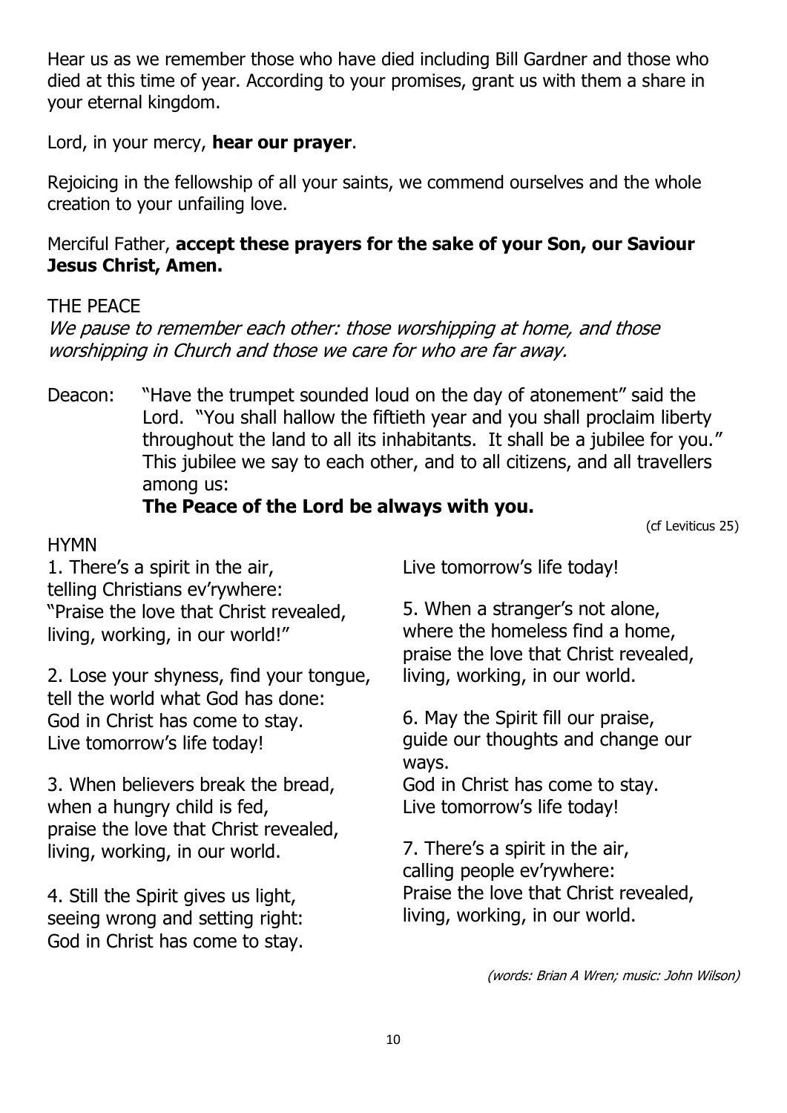Hear us as we remember those who have died including Bill Gardner and those who died at this time of year. According to your promises, grant us with them a share in your eternal kingdom.

Lord, in your mercy, **hear our prayer**.

Rejoicing in the fellowship of all your saints, we commend ourselves and the whole creation to your unfailing love.

### Merciful Father, **accept these prayers for the sake of your Son, our Saviour Jesus Christ, Amen.**

### THE PEACE

We pause to remember each other: those worshipping at home, and those worshipping in Church and those we care for who are far away.

Deacon: "Have the trumpet sounded loud on the day of atonement" said the Lord. "You shall hallow the fiftieth year and you shall proclaim liberty throughout the land to all its inhabitants. It shall be a jubilee for you." This jubilee we say to each other, and to all citizens, and all travellers among us:

### **The Peace of the Lord be always with you.**

(cf Leviticus 25)

**HYMN** 1. There's a spirit in the air, telling Christians ev'rywhere: "Praise the love that Christ revealed,

living, working, in our world!"

2. Lose your shyness, find your tongue, tell the world what God has done: God in Christ has come to stay. Live tomorrow's life today!

3. When believers break the bread, when a hungry child is fed, praise the love that Christ revealed, living, working, in our world.

4. Still the Spirit gives us light, seeing wrong and setting right: God in Christ has come to stay. Live tomorrow's life today!

5. When a stranger's not alone, where the homeless find a home, praise the love that Christ revealed, living, working, in our world.

6. May the Spirit fill our praise, guide our thoughts and change our ways.

God in Christ has come to stay. Live tomorrow's life today!

7. There's a spirit in the air, calling people ev'rywhere: Praise the love that Christ revealed, living, working, in our world.

(words: Brian A Wren; music: John Wilson)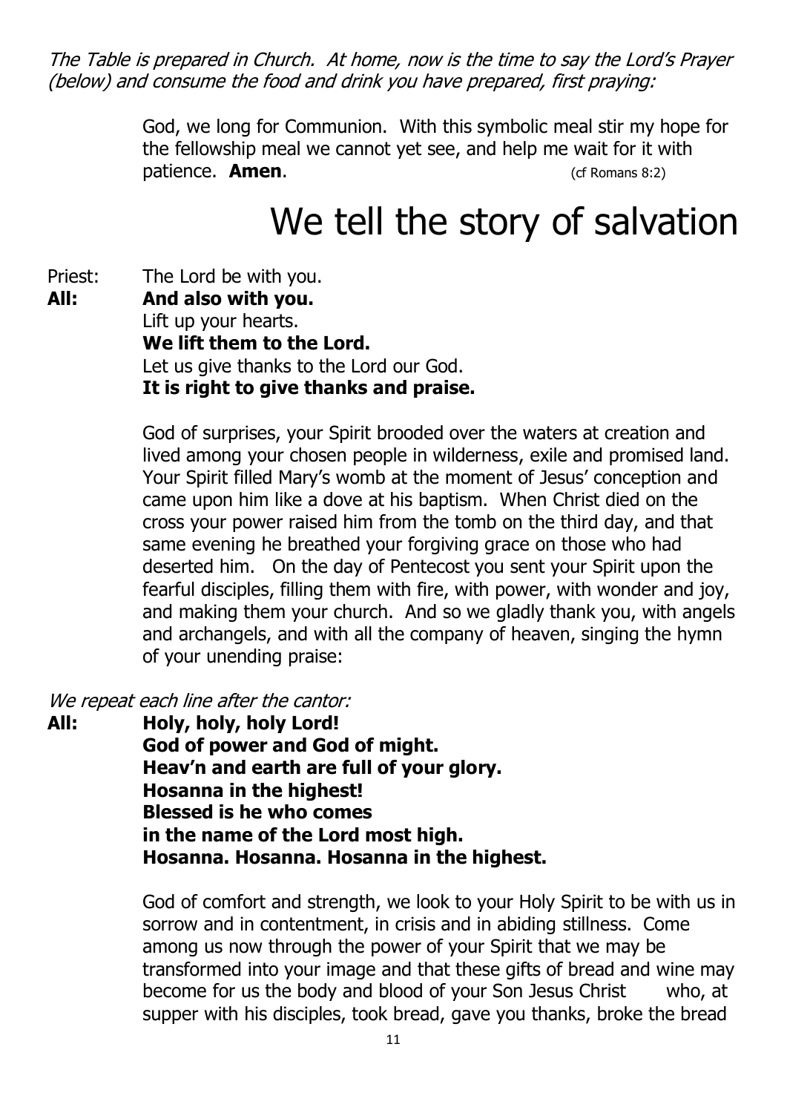The Table is prepared in Church. At home, now is the time to say the Lord's Prayer (below) and consume the food and drink you have prepared, first praying:

> God, we long for Communion. With this symbolic meal stir my hope for the fellowship meal we cannot yet see, and help me wait for it with patience. **Amen**. **Compatible 19th Contract Contract Contract Contract Contract Contract Contract Contract Contract Contract Contract Contract Contract Contract Contract Contract Contract Contract Contract Contract Contrac**

### We tell the story of salvation

Priest: The Lord be with you. **All: And also with you.** Lift up your hearts. **We lift them to the Lord.** Let us give thanks to the Lord our God. **It is right to give thanks and praise.**

> God of surprises, your Spirit brooded over the waters at creation and lived among your chosen people in wilderness, exile and promised land. Your Spirit filled Mary's womb at the moment of Jesus' conception and came upon him like a dove at his baptism. When Christ died on the cross your power raised him from the tomb on the third day, and that same evening he breathed your forgiving grace on those who had deserted him. On the day of Pentecost you sent your Spirit upon the fearful disciples, filling them with fire, with power, with wonder and joy, and making them your church. And so we gladly thank you, with angels and archangels, and with all the company of heaven, singing the hymn of your unending praise:

We repeat each line after the cantor:

**All: Holy, holy, holy Lord! God of power and God of might. Heav'n and earth are full of your glory. Hosanna in the highest! Blessed is he who comes in the name of the Lord most high. Hosanna. Hosanna. Hosanna in the highest.**

> God of comfort and strength, we look to your Holy Spirit to be with us in sorrow and in contentment, in crisis and in abiding stillness. Come among us now through the power of your Spirit that we may be transformed into your image and that these gifts of bread and wine may become for us the body and blood of your Son Jesus Christ who, at supper with his disciples, took bread, gave you thanks, broke the bread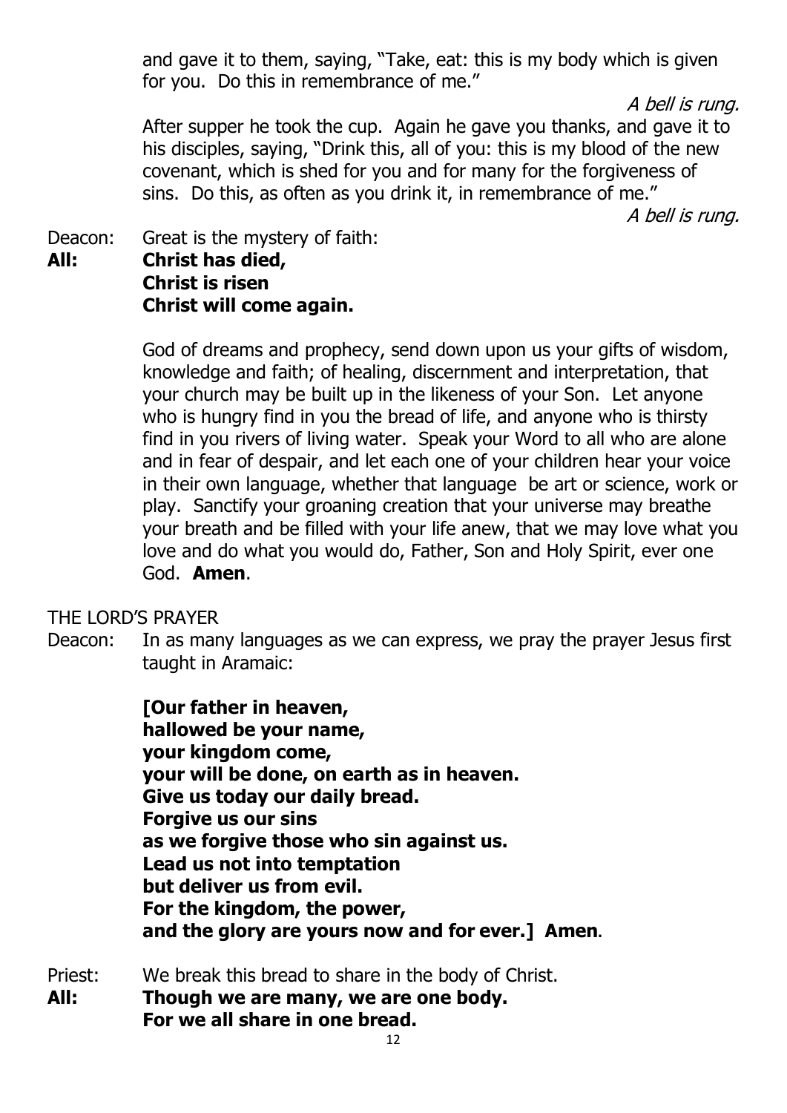and gave it to them, saying, "Take, eat: this is my body which is given for you. Do this in remembrance of me."

A bell is rung.

After supper he took the cup. Again he gave you thanks, and gave it to his disciples, saying, "Drink this, all of you: this is my blood of the new covenant, which is shed for you and for many for the forgiveness of sins. Do this, as often as you drink it, in remembrance of me."

A bell is rung.

Deacon: Great is the mystery of faith: **All: Christ has died, Christ is risen Christ will come again.**

> God of dreams and prophecy, send down upon us your gifts of wisdom, knowledge and faith; of healing, discernment and interpretation, that your church may be built up in the likeness of your Son. Let anyone who is hungry find in you the bread of life, and anyone who is thirsty find in you rivers of living water. Speak your Word to all who are alone and in fear of despair, and let each one of your children hear your voice in their own language, whether that language be art or science, work or play. Sanctify your groaning creation that your universe may breathe your breath and be filled with your life anew, that we may love what you love and do what you would do, Father, Son and Holy Spirit, ever one God. **Amen**.

THE LORD'S PRAYER

Deacon: In as many languages as we can express, we pray the prayer Jesus first taught in Aramaic:

> **[Our father in heaven, hallowed be your name, your kingdom come, your will be done, on earth as in heaven. Give us today our daily bread. Forgive us our sins as we forgive those who sin against us. Lead us not into temptation but deliver us from evil. For the kingdom, the power, and the glory are yours now and for ever.] Amen.**

Priest: We break this bread to share in the body of Christ.

**All: Though we are many, we are one body. For we all share in one bread.**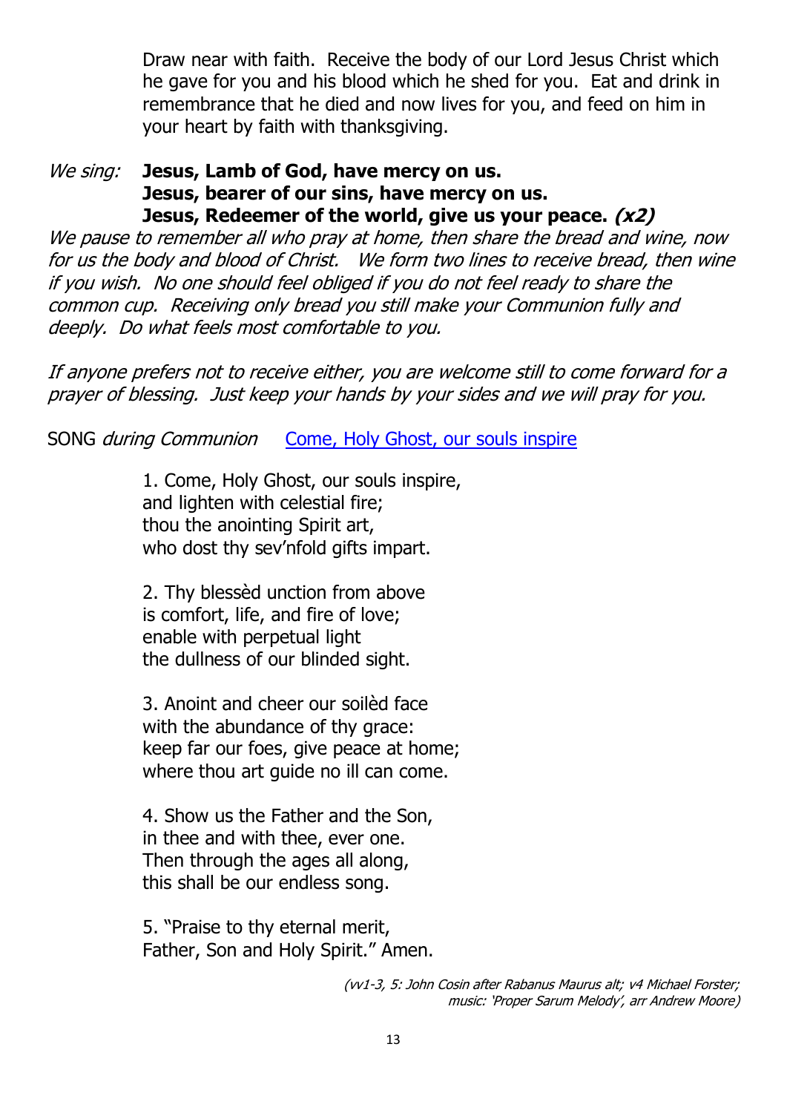Draw near with faith. Receive the body of our Lord Jesus Christ which he gave for you and his blood which he shed for you. Eat and drink in remembrance that he died and now lives for you, and feed on him in your heart by faith with thanksgiving.

#### We sing: **Jesus, Lamb of God, have mercy on us. Jesus, bearer of our sins, have mercy on us. Jesus, Redeemer of the world, give us your peace. (x2)**

We pause to remember all who pray at home, then share the bread and wine, now for us the body and blood of Christ. We form two lines to receive bread, then wine if you wish. No one should feel obliged if you do not feel ready to share the common cup. Receiving only bread you still make your Communion fully and deeply. Do what feels most comfortable to you.

If anyone prefers not to receive either, you are welcome still to come forward for a prayer of blessing. Just keep your hands by your sides and we will pray for you.

SONG *during Communion* [Come, Holy Ghost, our souls inspire](https://soundcloud.com/all-saints-kings-heath/come-holy-spirit-our-souls?)

1. Come, Holy Ghost, our souls inspire, and lighten with celestial fire; thou the anointing Spirit art, who dost thy sev'nfold gifts impart.

2. Thy blessèd unction from above is comfort, life, and fire of love; enable with perpetual light the dullness of our blinded sight.

3. Anoint and cheer our soilèd face with the abundance of thy grace: keep far our foes, give peace at home; where thou art guide no ill can come.

4. Show us the Father and the Son, in thee and with thee, ever one. Then through the ages all along, this shall be our endless song.

5. "Praise to thy eternal merit, Father, Son and Holy Spirit." Amen.

> (vv1-3, 5: John Cosin after Rabanus Maurus alt; v4 Michael Forster; music: 'Proper Sarum Melody', arr Andrew Moore)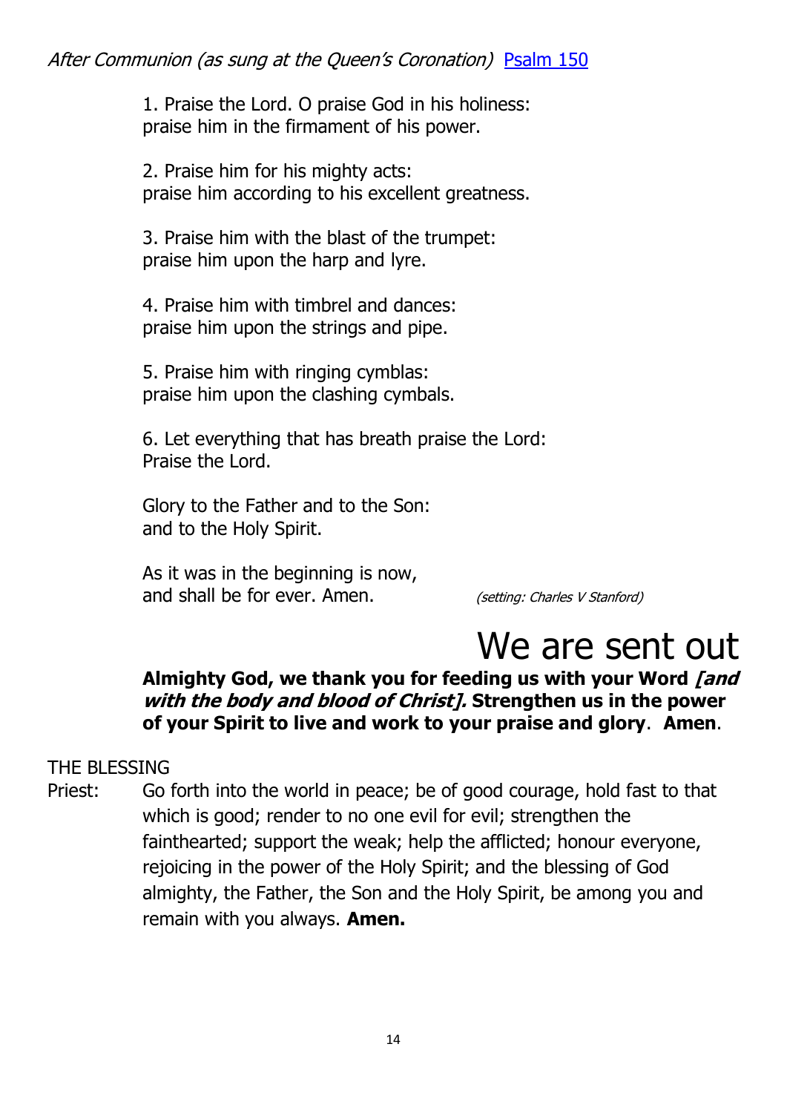1. Praise the Lord. O praise God in his holiness: praise him in the firmament of his power.

2. Praise him for his mighty acts: praise him according to his excellent greatness.

3. Praise him with the blast of the trumpet: praise him upon the harp and lyre.

4. Praise him with timbrel and dances: praise him upon the strings and pipe.

5. Praise him with ringing cymblas: praise him upon the clashing cymbals.

6. Let everything that has breath praise the Lord: Praise the Lord.

Glory to the Father and to the Son: and to the Holy Spirit.

As it was in the beginning is now, and shall be for ever. Amen. (setting: Charles V Stanford)

# We are sent out

### **Almighty God, we thank you for feeding us with your Word [and with the body and blood of Christ]. Strengthen us in the power of your Spirit to live and work to your praise and glory**. **Amen**.

### THE BLESSING

Priest: Go forth into the world in peace; be of good courage, hold fast to that which is good; render to no one evil for evil; strengthen the fainthearted; support the weak; help the afflicted; honour everyone, rejoicing in the power of the Holy Spirit; and the blessing of God almighty, the Father, the Son and the Holy Spirit, be among you and remain with you always. **Amen.**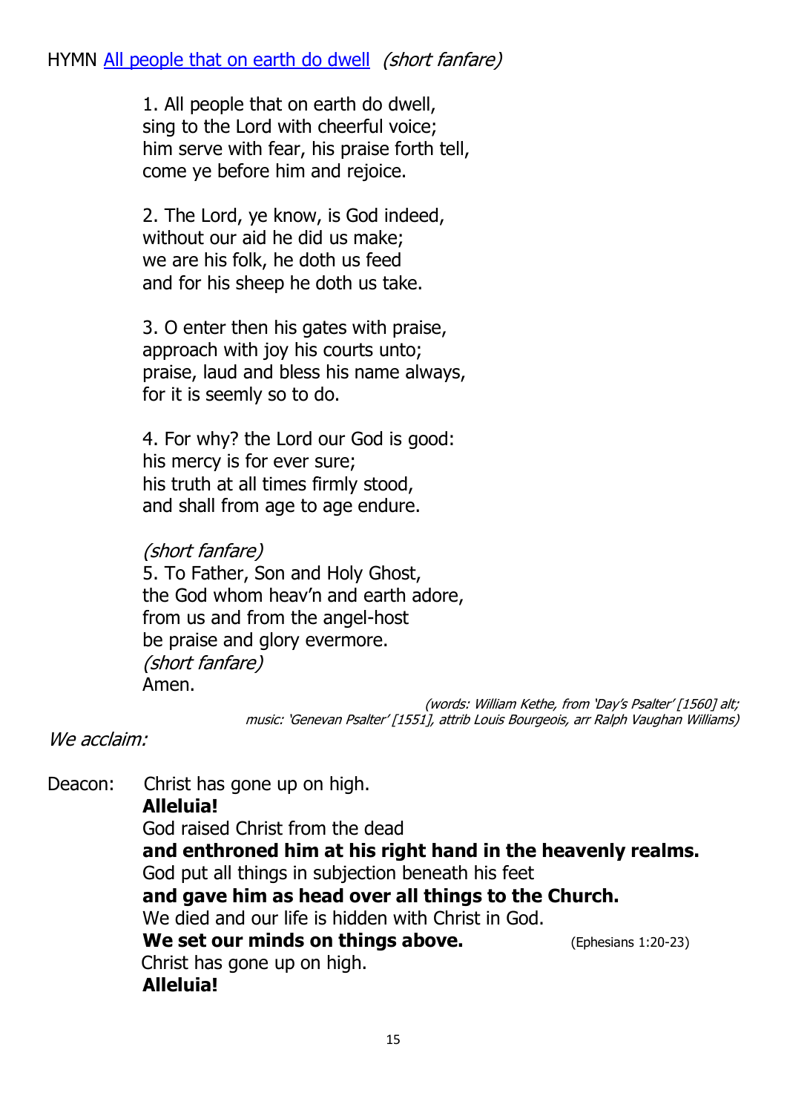1. All people that on earth do dwell, sing to the Lord with cheerful voice; him serve with fear, his praise forth tell, come ye before him and rejoice.

2. The Lord, ye know, is God indeed, without our aid he did us make; we are his folk, he doth us feed and for his sheep he doth us take.

3. O enter then his gates with praise, approach with joy his courts unto; praise, laud and bless his name always, for it is seemly so to do.

4. For why? the Lord our God is good: his mercy is for ever sure; his truth at all times firmly stood, and shall from age to age endure.

### (short fanfare)

5. To Father, Son and Holy Ghost, the God whom heav'n and earth adore, from us and from the angel-host be praise and glory evermore. (short fanfare) Amen.

> (words: William Kethe, from 'Day's Psalter' [1560] alt; music: 'Genevan Psalter' [1551], attrib Louis Bourgeois, arr Ralph Vaughan Williams)

We acclaim:

Deacon: Christ has gone up on high. **Alleluia!** God raised Christ from the dead **and enthroned him at his right hand in the heavenly realms.** God put all things in subjection beneath his feet **and gave him as head over all things to the Church.** We died and our life is hidden with Christ in God. **We set our minds on things above.** (Ephesians 1:20-23) Christ has gone up on high. **Alleluia!**